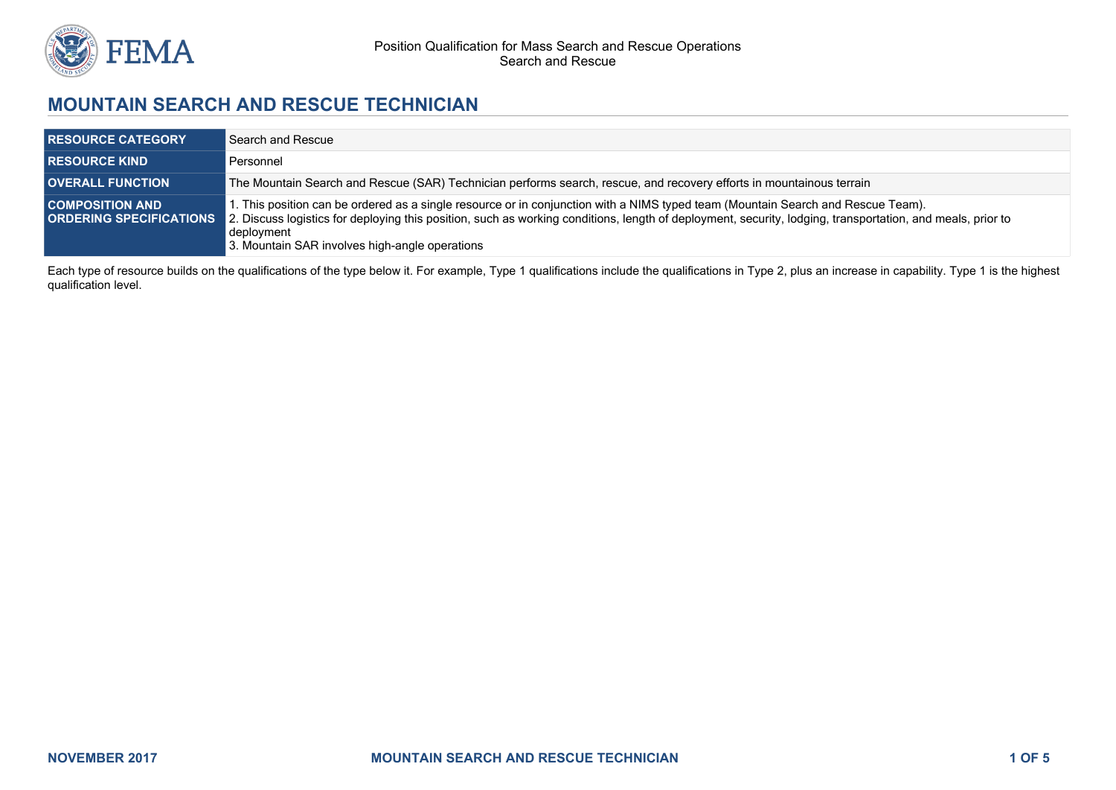

# **MOUNTAIN SEARCH AND RESCUE TECHNICIAN**

| <b>RESOURCE CATEGORY</b> | Search and Rescue                                                                                                                                                                                                                                                                                                                                                                             |
|--------------------------|-----------------------------------------------------------------------------------------------------------------------------------------------------------------------------------------------------------------------------------------------------------------------------------------------------------------------------------------------------------------------------------------------|
| <b>RESOURCE KIND</b>     | Personnel                                                                                                                                                                                                                                                                                                                                                                                     |
| <b>OVERALL FUNCTION</b>  | The Mountain Search and Rescue (SAR) Technician performs search, rescue, and recovery efforts in mountainous terrain                                                                                                                                                                                                                                                                          |
| <b>COMPOSITION AND</b>   | 1. This position can be ordered as a single resource or in conjunction with a NIMS typed team (Mountain Search and Rescue Team).<br><b>ORDERING SPECIFICATIONS</b> 2. Discuss logistics for deploying this position, such as working conditions, length of deployment, security, lodging, transportation, and meals, prior to<br>deployment<br>3. Mountain SAR involves high-angle operations |

Each type of resource builds on the qualifications of the type below it. For example, Type 1 qualifications include the qualifications in Type 2, plus an increase in capability. Type 1 is the highest qualification level.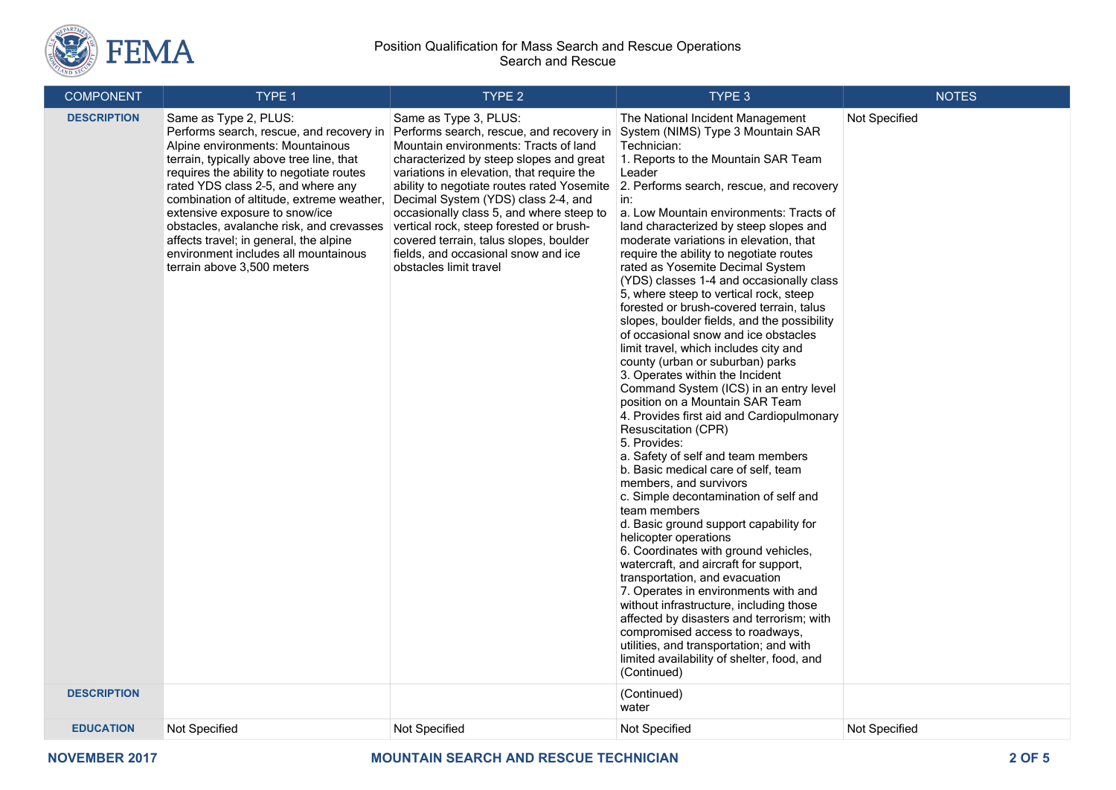

#### Position Qualification for Mass Search and Rescue Operations Search and Rescue

| <b>COMPONENT</b>   | TYPE 1                                                                                                                                                                                                                                                                                                                                                                                                                                                                         | TYPE <sub>2</sub>                                                                                                                                                                                                                                                                                                                                                                                                                                                                         | TYPE 3                                                                                                                                                                                                                                                                                                                                                                                                                                                                                                                                                                                                                                                                                                                                                                                                                                                                                                                                                                                                                                                                                                                                                                                                                                                                                                                                                                                                                                                                                                                                                   | <b>NOTES</b>  |
|--------------------|--------------------------------------------------------------------------------------------------------------------------------------------------------------------------------------------------------------------------------------------------------------------------------------------------------------------------------------------------------------------------------------------------------------------------------------------------------------------------------|-------------------------------------------------------------------------------------------------------------------------------------------------------------------------------------------------------------------------------------------------------------------------------------------------------------------------------------------------------------------------------------------------------------------------------------------------------------------------------------------|----------------------------------------------------------------------------------------------------------------------------------------------------------------------------------------------------------------------------------------------------------------------------------------------------------------------------------------------------------------------------------------------------------------------------------------------------------------------------------------------------------------------------------------------------------------------------------------------------------------------------------------------------------------------------------------------------------------------------------------------------------------------------------------------------------------------------------------------------------------------------------------------------------------------------------------------------------------------------------------------------------------------------------------------------------------------------------------------------------------------------------------------------------------------------------------------------------------------------------------------------------------------------------------------------------------------------------------------------------------------------------------------------------------------------------------------------------------------------------------------------------------------------------------------------------|---------------|
| <b>DESCRIPTION</b> | Same as Type 2, PLUS:<br>Performs search, rescue, and recovery in<br>Alpine environments: Mountainous<br>terrain, typically above tree line, that<br>requires the ability to negotiate routes<br>rated YDS class 2-5, and where any<br>combination of altitude, extreme weather,<br>extensive exposure to snow/ice<br>obstacles, avalanche risk, and crevasses<br>affects travel; in general, the alpine<br>environment includes all mountainous<br>terrain above 3,500 meters | Same as Type 3, PLUS:<br>Performs search, rescue, and recovery in<br>Mountain environments: Tracts of land<br>characterized by steep slopes and great<br>variations in elevation, that require the<br>ability to negotiate routes rated Yosemite<br>Decimal System (YDS) class 2-4, and<br>occasionally class 5, and where steep to<br>vertical rock, steep forested or brush-<br>covered terrain, talus slopes, boulder<br>fields, and occasional snow and ice<br>obstacles limit travel | The National Incident Management<br>System (NIMS) Type 3 Mountain SAR<br>Technician:<br>1. Reports to the Mountain SAR Team<br>Leader<br>2. Performs search, rescue, and recovery<br>in:<br>a. Low Mountain environments: Tracts of<br>land characterized by steep slopes and<br>moderate variations in elevation, that<br>require the ability to negotiate routes<br>rated as Yosemite Decimal System<br>(YDS) classes 1-4 and occasionally class<br>5, where steep to vertical rock, steep<br>forested or brush-covered terrain, talus<br>slopes, boulder fields, and the possibility<br>of occasional snow and ice obstacles<br>limit travel, which includes city and<br>county (urban or suburban) parks<br>3. Operates within the Incident<br>Command System (ICS) in an entry level<br>position on a Mountain SAR Team<br>4. Provides first aid and Cardiopulmonary<br><b>Resuscitation (CPR)</b><br>5. Provides:<br>a. Safety of self and team members<br>b. Basic medical care of self, team<br>members, and survivors<br>c. Simple decontamination of self and<br>team members<br>d. Basic ground support capability for<br>helicopter operations<br>6. Coordinates with ground vehicles,<br>watercraft, and aircraft for support,<br>transportation, and evacuation<br>7. Operates in environments with and<br>without infrastructure, including those<br>affected by disasters and terrorism; with<br>compromised access to roadways,<br>utilities, and transportation; and with<br>limited availability of shelter, food, and<br>(Continued) | Not Specified |
| <b>DESCRIPTION</b> |                                                                                                                                                                                                                                                                                                                                                                                                                                                                                |                                                                                                                                                                                                                                                                                                                                                                                                                                                                                           | (Continued)<br>water                                                                                                                                                                                                                                                                                                                                                                                                                                                                                                                                                                                                                                                                                                                                                                                                                                                                                                                                                                                                                                                                                                                                                                                                                                                                                                                                                                                                                                                                                                                                     |               |
| <b>EDUCATION</b>   | Not Specified                                                                                                                                                                                                                                                                                                                                                                                                                                                                  | Not Specified                                                                                                                                                                                                                                                                                                                                                                                                                                                                             | Not Specified                                                                                                                                                                                                                                                                                                                                                                                                                                                                                                                                                                                                                                                                                                                                                                                                                                                                                                                                                                                                                                                                                                                                                                                                                                                                                                                                                                                                                                                                                                                                            | Not Specified |
|                    |                                                                                                                                                                                                                                                                                                                                                                                                                                                                                |                                                                                                                                                                                                                                                                                                                                                                                                                                                                                           |                                                                                                                                                                                                                                                                                                                                                                                                                                                                                                                                                                                                                                                                                                                                                                                                                                                                                                                                                                                                                                                                                                                                                                                                                                                                                                                                                                                                                                                                                                                                                          |               |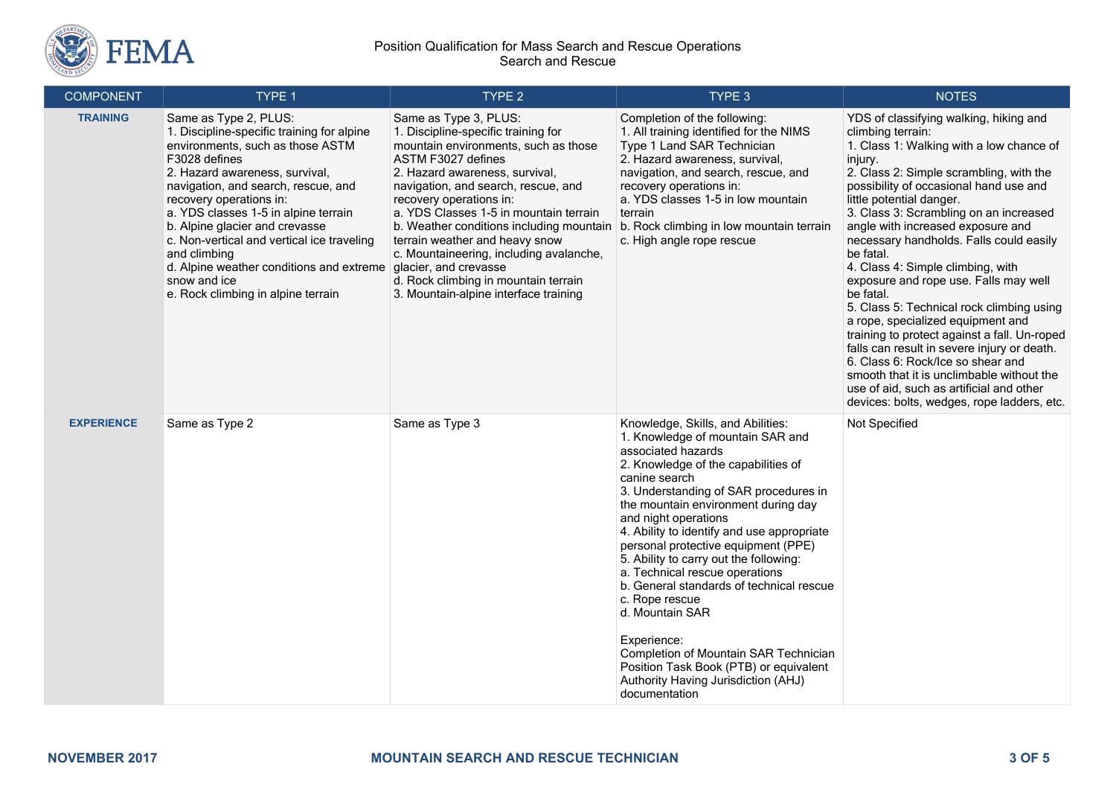

#### Position Qualification for Mass Search and Rescue Operations Search and Rescue

| <b>COMPONENT</b>  | TYPE 1                                                                                                                                                                                                                                                                                                                                                                                                                                                                                       | TYPE 2                                                                                                                                                                                                                                                                                                                                                                                                                                                                             | TYPE 3                                                                                                                                                                                                                                                                                                                                                                                                                                                                                                                                                                                                                                                                  | <b>NOTES</b>                                                                                                                                                                                                                                                                                                                                                                                                                                                                                                                                                                                                                                                                                                                                                                                                                       |
|-------------------|----------------------------------------------------------------------------------------------------------------------------------------------------------------------------------------------------------------------------------------------------------------------------------------------------------------------------------------------------------------------------------------------------------------------------------------------------------------------------------------------|------------------------------------------------------------------------------------------------------------------------------------------------------------------------------------------------------------------------------------------------------------------------------------------------------------------------------------------------------------------------------------------------------------------------------------------------------------------------------------|-------------------------------------------------------------------------------------------------------------------------------------------------------------------------------------------------------------------------------------------------------------------------------------------------------------------------------------------------------------------------------------------------------------------------------------------------------------------------------------------------------------------------------------------------------------------------------------------------------------------------------------------------------------------------|------------------------------------------------------------------------------------------------------------------------------------------------------------------------------------------------------------------------------------------------------------------------------------------------------------------------------------------------------------------------------------------------------------------------------------------------------------------------------------------------------------------------------------------------------------------------------------------------------------------------------------------------------------------------------------------------------------------------------------------------------------------------------------------------------------------------------------|
| <b>TRAINING</b>   | Same as Type 2, PLUS:<br>1. Discipline-specific training for alpine<br>environments, such as those ASTM<br>F3028 defines<br>2. Hazard awareness, survival,<br>navigation, and search, rescue, and<br>recovery operations in:<br>a. YDS classes 1-5 in alpine terrain<br>b. Alpine glacier and crevasse<br>c. Non-vertical and vertical ice traveling<br>and climbing<br>d. Alpine weather conditions and extreme glacier, and crevasse<br>snow and ice<br>e. Rock climbing in alpine terrain | Same as Type 3, PLUS:<br>1. Discipline-specific training for<br>mountain environments, such as those<br>ASTM F3027 defines<br>2. Hazard awareness, survival,<br>navigation, and search, rescue, and<br>recovery operations in:<br>a. YDS Classes 1-5 in mountain terrain<br>b. Weather conditions including mountain<br>terrain weather and heavy snow<br>c. Mountaineering, including avalanche,<br>d. Rock climbing in mountain terrain<br>3. Mountain-alpine interface training | Completion of the following:<br>1. All training identified for the NIMS<br>Type 1 Land SAR Technician<br>2. Hazard awareness, survival,<br>navigation, and search, rescue, and<br>recovery operations in:<br>a. YDS classes 1-5 in low mountain<br>terrain<br>b. Rock climbing in low mountain terrain<br>c. High angle rope rescue                                                                                                                                                                                                                                                                                                                                     | YDS of classifying walking, hiking and<br>climbing terrain:<br>1. Class 1: Walking with a low chance of<br>injury.<br>2. Class 2: Simple scrambling, with the<br>possibility of occasional hand use and<br>little potential danger.<br>3. Class 3: Scrambling on an increased<br>angle with increased exposure and<br>necessary handholds. Falls could easily<br>be fatal.<br>4. Class 4: Simple climbing, with<br>exposure and rope use. Falls may well<br>be fatal.<br>5. Class 5: Technical rock climbing using<br>a rope, specialized equipment and<br>training to protect against a fall. Un-roped<br>falls can result in severe injury or death.<br>6. Class 6: Rock/Ice so shear and<br>smooth that it is unclimbable without the<br>use of aid, such as artificial and other<br>devices: bolts, wedges, rope ladders, etc. |
| <b>EXPERIENCE</b> | Same as Type 2                                                                                                                                                                                                                                                                                                                                                                                                                                                                               | Same as Type 3                                                                                                                                                                                                                                                                                                                                                                                                                                                                     | Knowledge, Skills, and Abilities:<br>1. Knowledge of mountain SAR and<br>associated hazards<br>2. Knowledge of the capabilities of<br>canine search<br>3. Understanding of SAR procedures in<br>the mountain environment during day<br>and night operations<br>4. Ability to identify and use appropriate<br>personal protective equipment (PPE)<br>5. Ability to carry out the following:<br>a. Technical rescue operations<br>b. General standards of technical rescue<br>c. Rope rescue<br>d. Mountain SAR<br>Experience:<br>Completion of Mountain SAR Technician<br>Position Task Book (PTB) or equivalent<br>Authority Having Jurisdiction (AHJ)<br>documentation | Not Specified                                                                                                                                                                                                                                                                                                                                                                                                                                                                                                                                                                                                                                                                                                                                                                                                                      |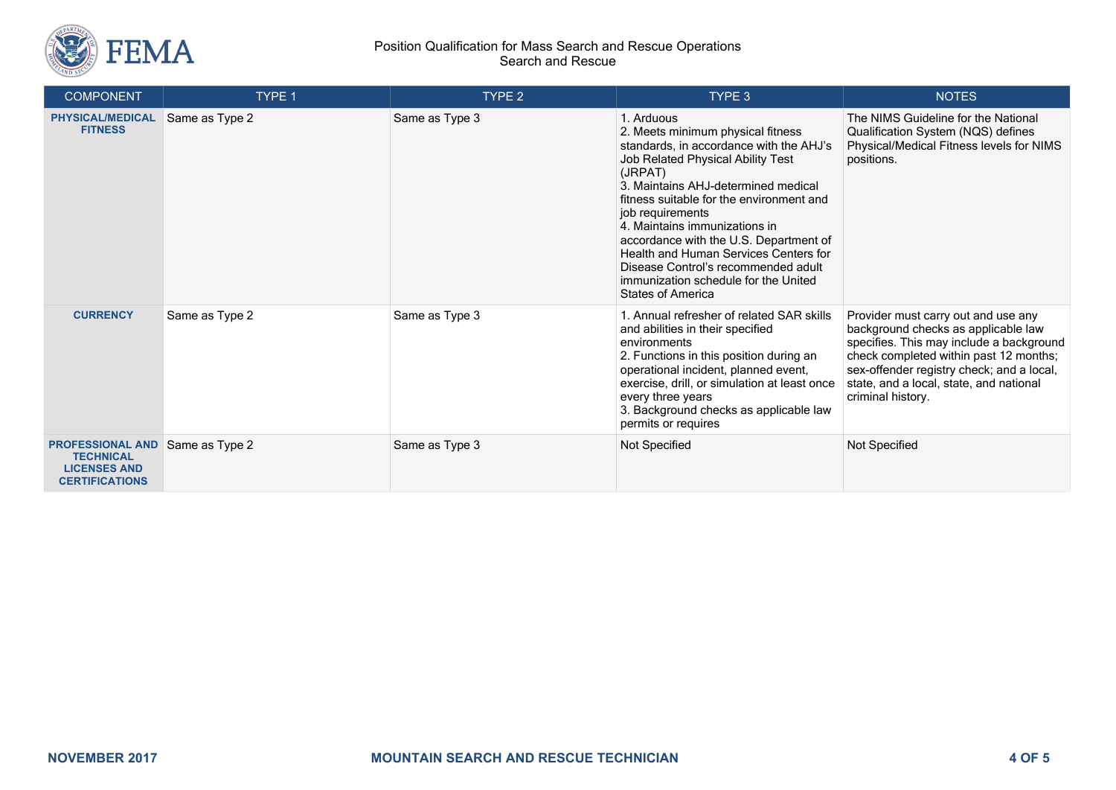

#### Position Qualification for Mass Search and Rescue Operations Search and Rescue

| <b>COMPONENT</b>                                                                            | TYPE 1         | TYPE <sub>2</sub> | TYPE 3                                                                                                                                                                                                                                                                                                                                                                                                                                                                           | <b>NOTES</b>                                                                                                                                                                                                                                                                  |
|---------------------------------------------------------------------------------------------|----------------|-------------------|----------------------------------------------------------------------------------------------------------------------------------------------------------------------------------------------------------------------------------------------------------------------------------------------------------------------------------------------------------------------------------------------------------------------------------------------------------------------------------|-------------------------------------------------------------------------------------------------------------------------------------------------------------------------------------------------------------------------------------------------------------------------------|
| <b>PHYSICAL/MEDICAL</b><br><b>FITNESS</b>                                                   | Same as Type 2 | Same as Type 3    | 1. Arduous<br>2. Meets minimum physical fitness<br>standards, in accordance with the AHJ's<br>Job Related Physical Ability Test<br>(JRPAT)<br>3. Maintains AHJ-determined medical<br>fitness suitable for the environment and<br>job requirements<br>4. Maintains immunizations in<br>accordance with the U.S. Department of<br>Health and Human Services Centers for<br>Disease Control's recommended adult<br>immunization schedule for the United<br><b>States of America</b> | The NIMS Guideline for the National<br>Qualification System (NQS) defines<br>Physical/Medical Fitness levels for NIMS<br>positions.                                                                                                                                           |
| <b>CURRENCY</b>                                                                             | Same as Type 2 | Same as Type 3    | 1. Annual refresher of related SAR skills<br>and abilities in their specified<br>environments<br>2. Functions in this position during an<br>operational incident, planned event,<br>exercise, drill, or simulation at least once<br>every three years<br>3. Background checks as applicable law<br>permits or requires                                                                                                                                                           | Provider must carry out and use any<br>background checks as applicable law<br>specifies. This may include a background<br>check completed within past 12 months;<br>sex-offender registry check; and a local,<br>state, and a local, state, and national<br>criminal history. |
| <b>PROFESSIONAL AND</b><br><b>TECHNICAL</b><br><b>LICENSES AND</b><br><b>CERTIFICATIONS</b> | Same as Type 2 | Same as Type 3    | Not Specified                                                                                                                                                                                                                                                                                                                                                                                                                                                                    | Not Specified                                                                                                                                                                                                                                                                 |